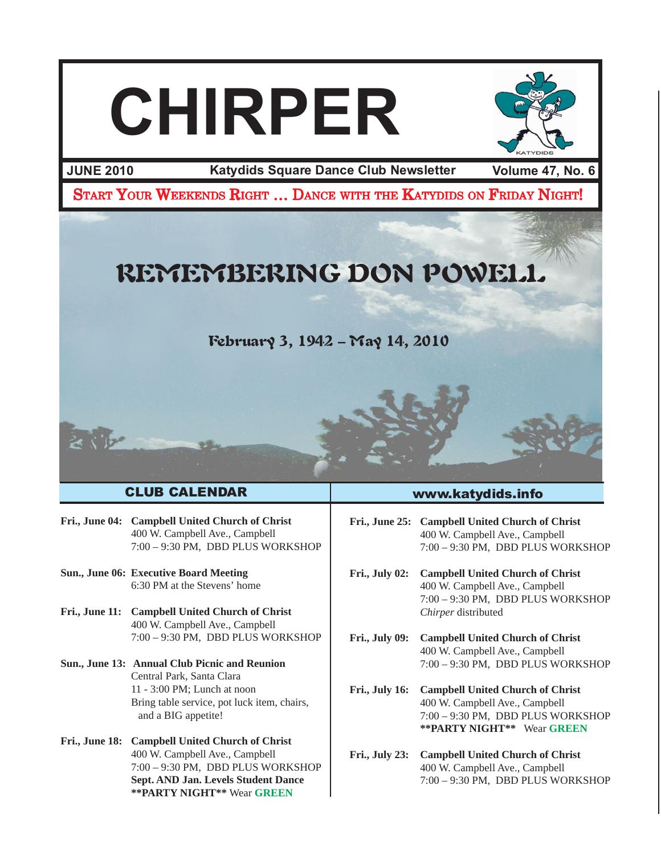



**JUNE 2010 Volume 47, No. 6 Katydids Square Dance Club Newsletter**

START YOUR WEEKENDS RIGHT ... DANCE WITH THE KATYDIDS ON FRIDAY NIGHT!

# REMEMBERING DON POWELL

February 3, 1942 – May 14, 2010

#### CLUB CALENDAR

- **Fri., June 04: Campbell United Church of Christ** 400 W. Campbell Ave., Campbell 7:00 – 9:30 PM, DBD PLUS WORKSHOP
- **Sun., June 06: Executive Board Meeting** 6:30 PM at the Stevens' home
- **Fri., June 11: Campbell United Church of Christ** 400 W. Campbell Ave., Campbell 7:00 – 9:30 PM, DBD PLUS WORKSHOP
- **Sun., June 13: Annual Club Picnic and Reunion** Central Park, Santa Clara 11 - 3:00 PM; Lunch at noon Bring table service, pot luck item, chairs, and a BIG appetite!
- **Fri., June 18: Campbell United Church of Christ** 400 W. Campbell Ave., Campbell 7:00 – 9:30 PM, DBD PLUS WORKSHOP **Sept. AND Jan. Levels Student Dance \*\*PARTY NIGHT\*\*** Wear **GREEN**

#### www.katydids.info

**Fri., June 25: Campbell United Church of Christ** 400 W. Campbell Ave., Campbell 7:00 – 9:30 PM, DBD PLUS WORKSHOP

**Fri., July 02: Campbell United Church of Christ** 400 W. Campbell Ave., Campbell 7:00 – 9:30 PM, DBD PLUS WORKSHOP *Chirper* distributed

- **Fri., July 09: Campbell United Church of Christ** 400 W. Campbell Ave., Campbell 7:00 – 9:30 PM, DBD PLUS WORKSHOP
- **Fri., July 16: Campbell United Church of Christ** 400 W. Campbell Ave., Campbell 7:00 – 9:30 PM, DBD PLUS WORKSHOP **\*\*PARTY NIGHT\*\*** Wear **GREEN**
- **Fri., July 23: Campbell United Church of Christ** 400 W. Campbell Ave., Campbell 7:00 – 9:30 PM, DBD PLUS WORKSHOP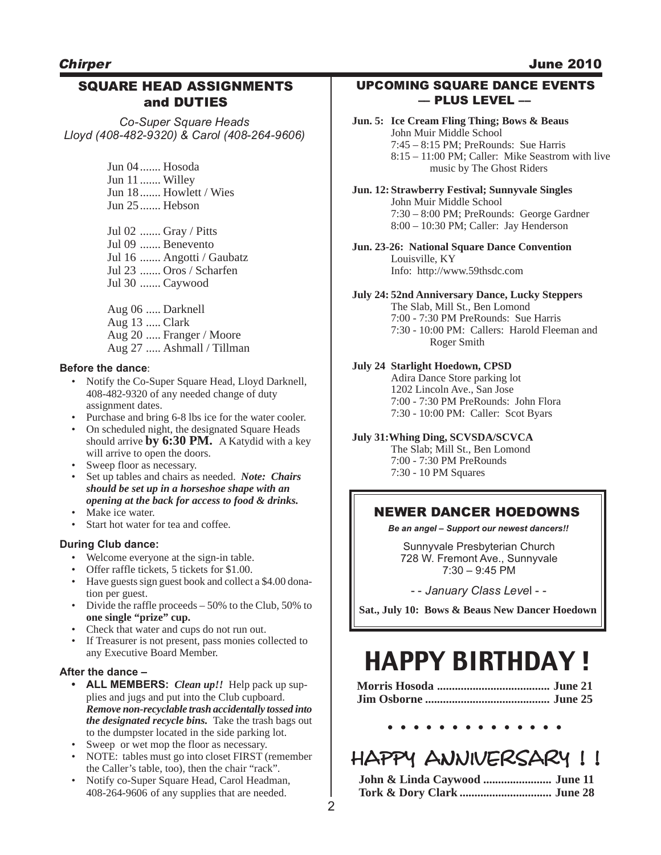#### **Chirper**

#### SQUARE HEAD ASSIGNMENTS and DUTIES

*Co-Super Square Heads Lloyd (408-482-9320) & Carol (408-264-9606)*

> Jun 04....... Hosoda Jun 11 ....... Willey Jun 18....... Howlett / Wies Jun 25....... Hebson

Jul 02 ....... Gray / Pitts Jul 09 ....... Benevento Jul 16 ....... Angotti / Gaubatz Jul 23 ....... Oros / Scharfen Jul 30 ....... Caywood

Aug 06 ..... Darknell Aug 13 ..... Clark Aug 20 ..... Franger / Moore Aug 27 ..... Ashmall / Tillman

#### **Before the dance**:

- Notify the Co-Super Square Head, Lloyd Darknell, 408-482-9320 of any needed change of duty assignment dates.
- Purchase and bring 6-8 lbs ice for the water cooler.
- On scheduled night, the designated Square Heads should arrive **by 6:30 PM.** A Katydid with a key will arrive to open the doors.
- Sweep floor as necessary.
- Set up tables and chairs as needed. *Note: Chairs should be set up in a horseshoe shape with an opening at the back for access to food & drinks.*
- Make ice water.
- Start hot water for tea and coffee.

#### **During Club dance:**

- Welcome everyone at the sign-in table.
- Offer raffle tickets, 5 tickets for \$1.00.
- Have guests sign guest book and collect a \$4.00 donation per guest.
- Divide the raffle proceeds  $-50\%$  to the Club, 50% to **one single "prize" cup.**
- Check that water and cups do not run out.
- If Treasurer is not present, pass monies collected to any Executive Board Member.

#### **After the dance –**

- **• ALL MEMBERS:** *Clean up!!* Help pack up supplies and jugs and put into the Club cupboard. *Remove non-recyclable trash accidentally tossed into the designated recycle bins.*Take the trash bags out to the dumpster located in the side parking lot.
- Sweep or wet mop the floor as necessary.
- NOTE: tables must go into closet FIRST (remember the Caller's table, too), then the chair "rack".
- Notify co-Super Square Head, Carol Headman, 408-264-9606 of any supplies that are needed.

#### UPCOMING SQUARE DANCE EVENTS –– PLUS LEVEL ––

- **Jun. 5: Ice Cream Fling Thing; Bows & Beaus** John Muir Middle School 7:45 – 8:15 PM; PreRounds: Sue Harris 8:15 – 11:00 PM; Caller: Mike Seastrom with live music by The Ghost Riders
- **Jun. 12: Strawberry Festival; Sunnyvale Singles** John Muir Middle School 7:30 – 8:00 PM; PreRounds: George Gardner 8:00 – 10:30 PM; Caller: Jay Henderson

#### **Jun. 23-26: National Square Dance Convention** Louisville, KY Info: http://www.59thsdc.com

#### **July 24: 52nd Anniversary Dance, Lucky Steppers**

The Slab, Mill St., Ben Lomond 7:00 - 7:30 PM PreRounds: Sue Harris 7:30 - 10:00 PM: Callers: Harold Fleeman and Roger Smith

#### **July 24 Starlight Hoedown, CPSD**

Adira Dance Store parking lot 1202 Lincoln Ave., San Jose 7:00 - 7:30 PM PreRounds: John Flora 7:30 - 10:00 PM: Caller: Scot Byars

#### **July 31:Whing Ding, SCVSDA/SCVCA**

The Slab; Mill St., Ben Lomond 7:00 - 7:30 PM PreRounds 7:30 - 10 PM Squares

#### NEWER DANCER HOEDOWNS

*Be an angel – Support our newest dancers!!*

Sunnyvale Presbyterian Church 728 W. Fremont Ave., Sunnyvale 7:30 – 9:45 PM

- - *January Class Leve*l - -

**Sat., July 10: Bows & Beaus New Dancer Hoedown**

# HAPPY BIRTHDAY !

**. . . . . . . . . . . . . .**

### HAPPY ANNIVERSARY !!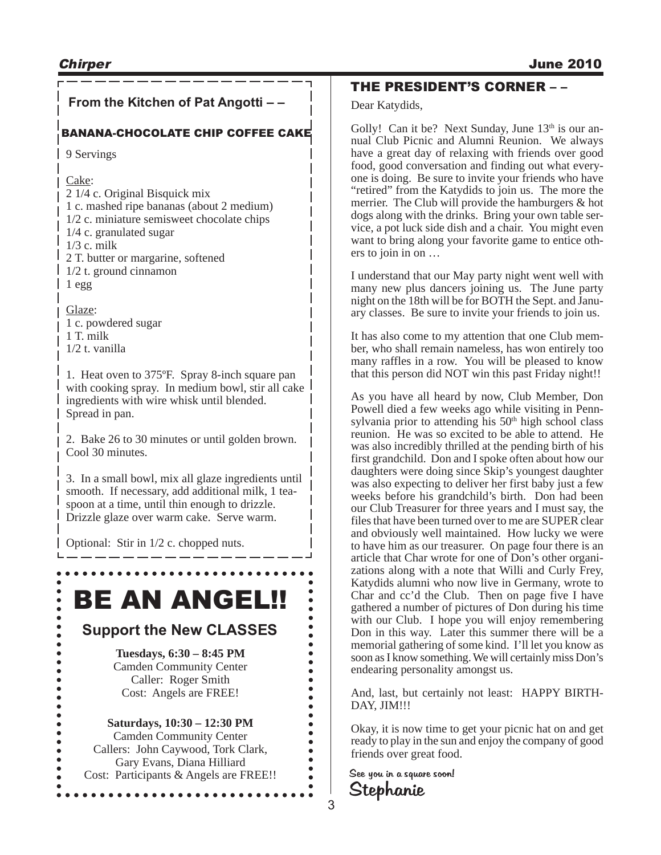## **From the Kitchen of Pat Angotti – –**

#### BANANA-CHOCOLATE CHIP COFFEE CAKE

9 Servings

#### Cake:

2 1/4 c. Original Bisquick mix 1 c. mashed ripe bananas (about 2 medium) 1/2 c. miniature semisweet chocolate chips 1/4 c. granulated sugar 1/3 c. milk 2 T. butter or margarine, softened 1/2 t. ground cinnamon 1 egg

Glaze: 1 c. powdered sugar 1 T. milk

1/2 t. vanilla

 $\bullet$  $\bullet$ 

 $\bullet$ 

 $\bullet$ 

 $\bullet$ 

 $\bullet$ 

 $\bullet$  $\bullet$ 

 $\bullet$ 

 $\ddot{\bullet}$  $\bullet$  $\bullet$ 

1. Heat oven to 375ºF. Spray 8-inch square pan with cooking spray. In medium bowl, stir all cake ingredients with wire whisk until blended. Spread in pan.

2. Bake 26 to 30 minutes or until golden brown. Cool 30 minutes.

3. In a small bowl, mix all glaze ingredients until smooth. If necessary, add additional milk, 1 teaspoon at a time, until thin enough to drizzle. Drizzle glaze over warm cake. Serve warm.

Optional: Stir in 1/2 c. chopped nuts.

# BE AN ANGEL!!

### **Support the New CLASSES**

**Tuesdays, 6:30 – 8:45 PM** Camden Community Center Caller: Roger Smith Cost: Angels are FREE!

#### **Saturdays, 10:30 – 12:30 PM** Camden Community Center

Callers: John Caywood, Tork Clark, Gary Evans, Diana Hilliard Cost: Participants & Angels are FREE!!

### THE PRESIDENT'S CORNER – –

#### Dear Katydids,

Golly! Can it be? Next Sunday, June  $13<sup>th</sup>$  is our annual Club Picnic and Alumni Reunion. We always have a great day of relaxing with friends over good food, good conversation and finding out what everyone is doing. Be sure to invite your friends who have "retired" from the Katydids to join us. The more the merrier. The Club will provide the hamburgers & hot dogs along with the drinks. Bring your own table service, a pot luck side dish and a chair. You might even want to bring along your favorite game to entice others to join in on …

I understand that our May party night went well with many new plus dancers joining us. The June party night on the 18th will be for BOTH the Sept. and January classes. Be sure to invite your friends to join us.

It has also come to my attention that one Club member, who shall remain nameless, has won entirely too many raffles in a row. You will be pleased to know that this person did NOT win this past Friday night!!

As you have all heard by now, Club Member, Don Powell died a few weeks ago while visiting in Pennsylvania prior to attending his 50<sup>th</sup> high school class reunion. He was so excited to be able to attend. He was also incredibly thrilled at the pending birth of his first grandchild. Don and I spoke often about how our daughters were doing since Skip's youngest daughter was also expecting to deliver her first baby just a few weeks before his grandchild's birth. Don had been our Club Treasurer for three years and I must say, the files that have been turned over to me are SUPER clear and obviously well maintained. How lucky we were to have him as our treasurer. On page four there is an article that Char wrote for one of Don's other organizations along with a note that Willi and Curly Frey, Katydids alumni who now live in Germany, wrote to Char and cc'd the Club. Then on page five I have gathered a number of pictures of Don during his time with our Club. I hope you will enjoy remembering Don in this way. Later this summer there will be a memorial gathering of some kind. I'll let you know as soon as I know something. We will certainly miss Don's endearing personality amongst us.

And, last, but certainly not least: HAPPY BIRTH-DAY, JIM!!!

Okay, it is now time to get your picnic hat on and get ready to play in the sun and enjoy the company of good friends over great food.

Stephanie See you in a square soon!

 $\ddot{\bullet}$ 

 $\bullet$  $\bullet$ 

 $\bullet$  $\bullet$ 

 $\bullet$ 

 $\bullet$ 

 $\bullet$ 

 $\bullet$ 

 $\bullet$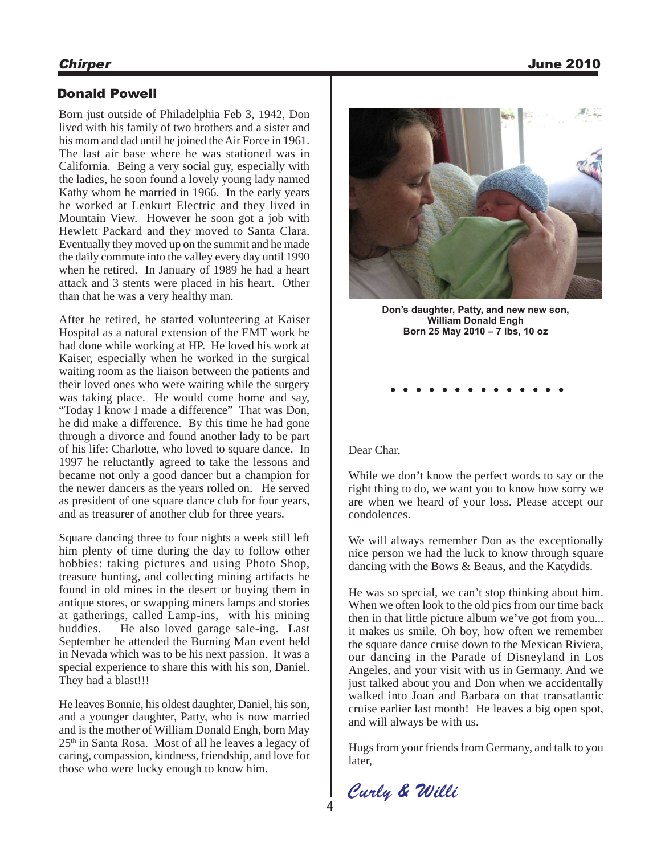#### Donald Powell

Born just outside of Philadelphia Feb 3, 1942, Don lived with his family of two brothers and a sister and his mom and dad until he joined the Air Force in 1961. The last air base where he was stationed was in California. Being a very social guy, especially with the ladies, he soon found a lovely young lady named Kathy whom he married in 1966. In the early years he worked at Lenkurt Electric and they lived in Mountain View. However he soon got a job with Hewlett Packard and they moved to Santa Clara. Eventually they moved up on the summit and he made the daily commute into the valley every day until 1990 when he retired. In January of 1989 he had a heart attack and 3 stents were placed in his heart. Other than that he was a very healthy man.

After he retired, he started volunteering at Kaiser Hospital as a natural extension of the EMT work he had done while working at HP. He loved his work at Kaiser, especially when he worked in the surgical waiting room as the liaison between the patients and their loved ones who were waiting while the surgery was taking place. He would come home and say, "Today I know I made a difference" That was Don, he did make a difference. By this time he had gone through a divorce and found another lady to be part of his life: Charlotte, who loved to square dance. In 1997 he reluctantly agreed to take the lessons and became not only a good dancer but a champion for the newer dancers as the years rolled on. He served as president of one square dance club for four years, and as treasurer of another club for three years.

Square dancing three to four nights a week still left him plenty of time during the day to follow other hobbies: taking pictures and using Photo Shop, treasure hunting, and collecting mining artifacts he found in old mines in the desert or buying them in antique stores, or swapping miners lamps and stories at gatherings, called Lamp-ins, with his mining<br>buddies. He also loved garage sale-ing. Last He also loved garage sale-ing. Last September he attended the Burning Man event held in Nevada which was to be his next passion. It was a special experience to share this with his son, Daniel. They had a blast!!!

He leaves Bonnie, his oldest daughter, Daniel, his son, and a younger daughter, Patty, who is now married and is the mother of William Donald Engh, born May 25th in Santa Rosa. Most of all he leaves a legacy of caring, compassion, kindness, friendship, and love for those who were lucky enough to know him.



**Don's daughter, Patty, and new new son, William Donald Engh Born 25 May 2010 – 7 lbs, 10 oz**

**. . . . . . . . . . . . . .**

#### Dear Char,

While we don't know the perfect words to say or the right thing to do, we want you to know how sorry we are when we heard of your loss. Please accept our condolences.

We will always remember Don as the exceptionally nice person we had the luck to know through square dancing with the Bows & Beaus, and the Katydids.

He was so special, we can't stop thinking about him. When we often look to the old pics from our time back then in that little picture album we've got from you... it makes us smile. Oh boy, how often we remember the square dance cruise down to the Mexican Riviera, our dancing in the Parade of Disneyland in Los Angeles, and your visit with us in Germany. And we just talked about you and Don when we accidentally walked into Joan and Barbara on that transatlantic cruise earlier last month! He leaves a big open spot, and will always be with us.

Hugs from your friends from Germany, and talk to you later,

Curly & Willi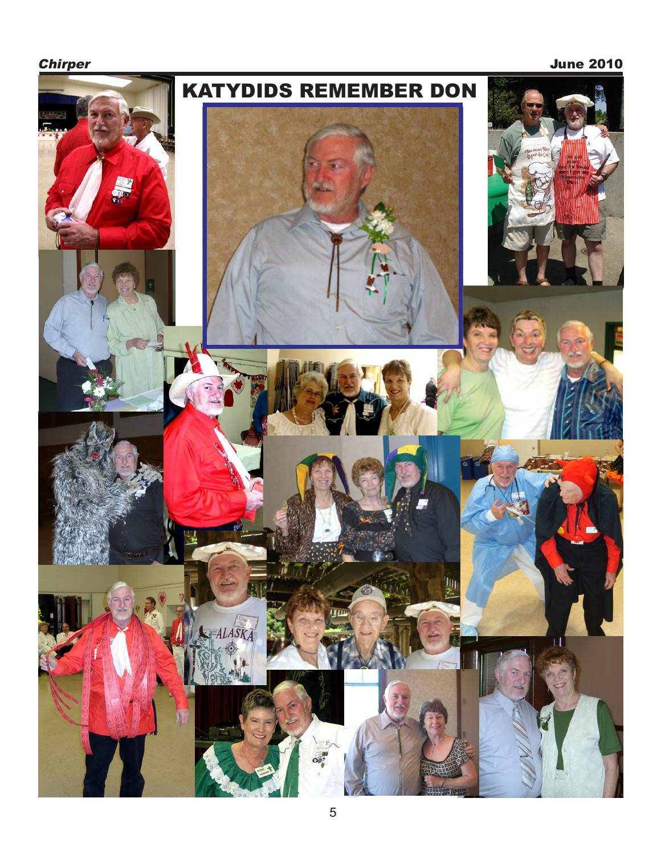**Chirper** June 2010